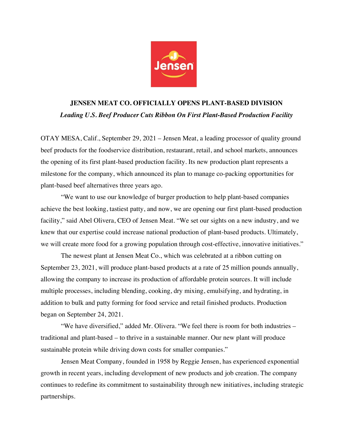

## **JENSEN MEAT CO. OFFICIALLY OPENS PLANT-BASED DIVISION** *Leading U.S. Beef Producer Cuts Ribbon On First Plant-Based Production Facility*

OTAY MESA, Calif., September 29, 2021 – Jensen Meat, a leading processor of quality ground beef products for the foodservice distribution, restaurant, retail, and school markets, announces the opening of its first plant-based production facility. Its new production plant represents a milestone for the company, which announced its plan to manage co-packing opportunities for plant-based beef alternatives three years ago.

"We want to use our knowledge of burger production to help plant-based companies achieve the best looking, tastiest patty, and now, we are opening our first plant-based production facility," said Abel Olivera, CEO of Jensen Meat. "We set our sights on a new industry, and we knew that our expertise could increase national production of plant-based products. Ultimately, we will create more food for a growing population through cost-effective, innovative initiatives."

The newest plant at Jensen Meat Co., which was celebrated at a ribbon cutting on September 23, 2021, will produce plant-based products at a rate of 25 million pounds annually, allowing the company to increase its production of affordable protein sources. It will include multiple processes, including blending, cooking, dry mixing, emulsifying, and hydrating, in addition to bulk and patty forming for food service and retail finished products. Production began on September 24, 2021.

"We have diversified," added Mr. Olivera. "We feel there is room for both industries – traditional and plant-based – to thrive in a sustainable manner. Our new plant will produce sustainable protein while driving down costs for smaller companies."

Jensen Meat Company, founded in 1958 by Reggie Jensen, has experienced exponential growth in recent years, including development of new products and job creation. The company continues to redefine its commitment to sustainability through new initiatives, including strategic partnerships.